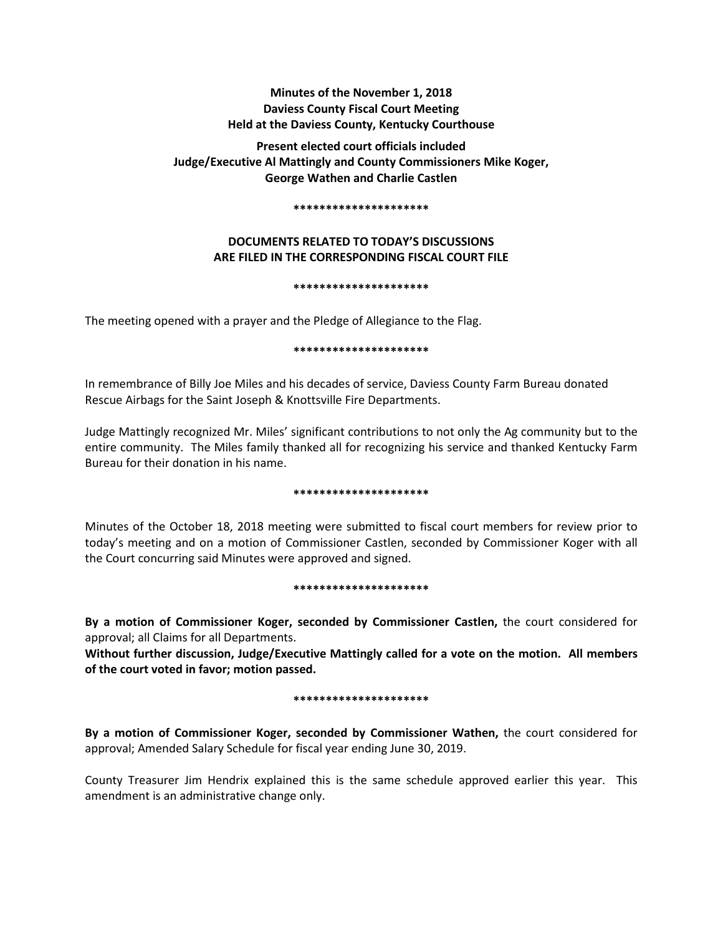# **Minutes of the November 1, 2018 Daviess County Fiscal Court Meeting Held at the Daviess County, Kentucky Courthouse**

**Present elected court officials included Judge/Executive Al Mattingly and County Commissioners Mike Koger, George Wathen and Charlie Castlen** 

#### **\*\*\*\*\*\*\*\*\*\*\*\*\*\*\*\*\*\*\*\*\***

# **DOCUMENTS RELATED TO TODAY'S DISCUSSIONS ARE FILED IN THE CORRESPONDING FISCAL COURT FILE**

#### **\*\*\*\*\*\*\*\*\*\*\*\*\*\*\*\*\*\*\*\*\***

The meeting opened with a prayer and the Pledge of Allegiance to the Flag.

### **\*\*\*\*\*\*\*\*\*\*\*\*\*\*\*\*\*\*\*\*\***

In remembrance of Billy Joe Miles and his decades of service, Daviess County Farm Bureau donated Rescue Airbags for the Saint Joseph & Knottsville Fire Departments.

Judge Mattingly recognized Mr. Miles' significant contributions to not only the Ag community but to the entire community. The Miles family thanked all for recognizing his service and thanked Kentucky Farm Bureau for their donation in his name.

#### **\*\*\*\*\*\*\*\*\*\*\*\*\*\*\*\*\*\*\*\*\***

Minutes of the October 18, 2018 meeting were submitted to fiscal court members for review prior to today's meeting and on a motion of Commissioner Castlen, seconded by Commissioner Koger with all the Court concurring said Minutes were approved and signed.

#### **\*\*\*\*\*\*\*\*\*\*\*\*\*\*\*\*\*\*\*\*\***

**By a motion of Commissioner Koger, seconded by Commissioner Castlen,** the court considered for approval; all Claims for all Departments.

**Without further discussion, Judge/Executive Mattingly called for a vote on the motion. All members of the court voted in favor; motion passed.** 

#### **\*\*\*\*\*\*\*\*\*\*\*\*\*\*\*\*\*\*\*\*\***

**By a motion of Commissioner Koger, seconded by Commissioner Wathen,** the court considered for approval; Amended Salary Schedule for fiscal year ending June 30, 2019.

County Treasurer Jim Hendrix explained this is the same schedule approved earlier this year. This amendment is an administrative change only.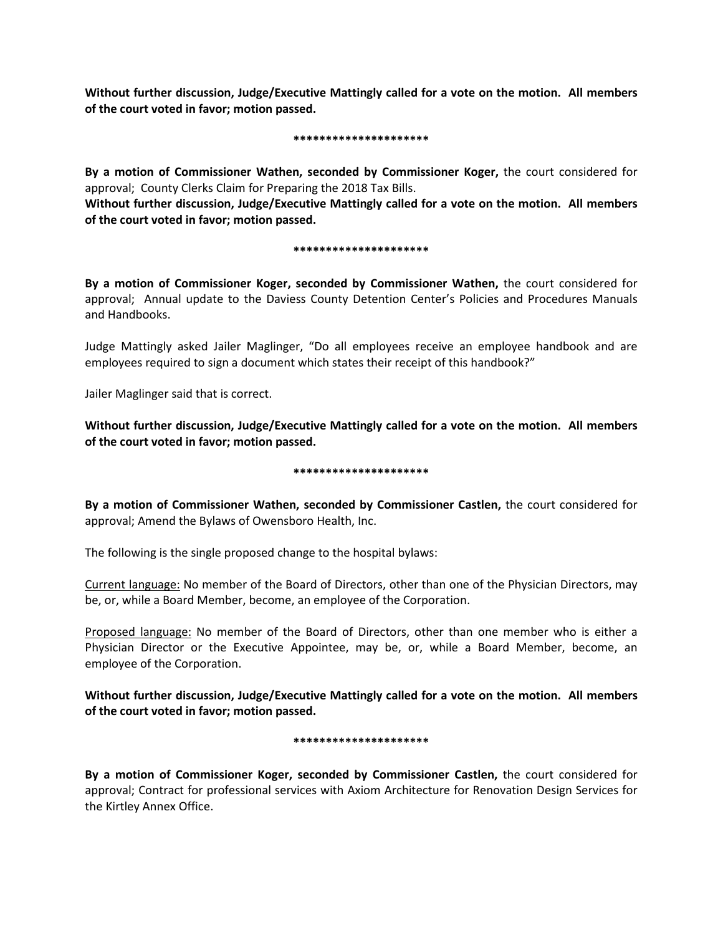**Without further discussion, Judge/Executive Mattingly called for a vote on the motion. All members of the court voted in favor; motion passed.** 

#### **\*\*\*\*\*\*\*\*\*\*\*\*\*\*\*\*\*\*\*\*\***

**By a motion of Commissioner Wathen, seconded by Commissioner Koger,** the court considered for approval; County Clerks Claim for Preparing the 2018 Tax Bills.

**Without further discussion, Judge/Executive Mattingly called for a vote on the motion. All members of the court voted in favor; motion passed.** 

### **\*\*\*\*\*\*\*\*\*\*\*\*\*\*\*\*\*\*\*\*\***

**By a motion of Commissioner Koger, seconded by Commissioner Wathen,** the court considered for approval; Annual update to the Daviess County Detention Center's Policies and Procedures Manuals and Handbooks.

Judge Mattingly asked Jailer Maglinger, "Do all employees receive an employee handbook and are employees required to sign a document which states their receipt of this handbook?"

Jailer Maglinger said that is correct.

**Without further discussion, Judge/Executive Mattingly called for a vote on the motion. All members of the court voted in favor; motion passed.** 

#### **\*\*\*\*\*\*\*\*\*\*\*\*\*\*\*\*\*\*\*\*\***

**By a motion of Commissioner Wathen, seconded by Commissioner Castlen,** the court considered for approval; Amend the Bylaws of Owensboro Health, Inc.

The following is the single proposed change to the hospital bylaws:

Current language: No member of the Board of Directors, other than one of the Physician Directors, may be, or, while a Board Member, become, an employee of the Corporation.

Proposed language: No member of the Board of Directors, other than one member who is either a Physician Director or the Executive Appointee, may be, or, while a Board Member, become, an employee of the Corporation.

**Without further discussion, Judge/Executive Mattingly called for a vote on the motion. All members of the court voted in favor; motion passed.** 

## **\*\*\*\*\*\*\*\*\*\*\*\*\*\*\*\*\*\*\*\*\***

**By a motion of Commissioner Koger, seconded by Commissioner Castlen,** the court considered for approval; Contract for professional services with Axiom Architecture for Renovation Design Services for the Kirtley Annex Office.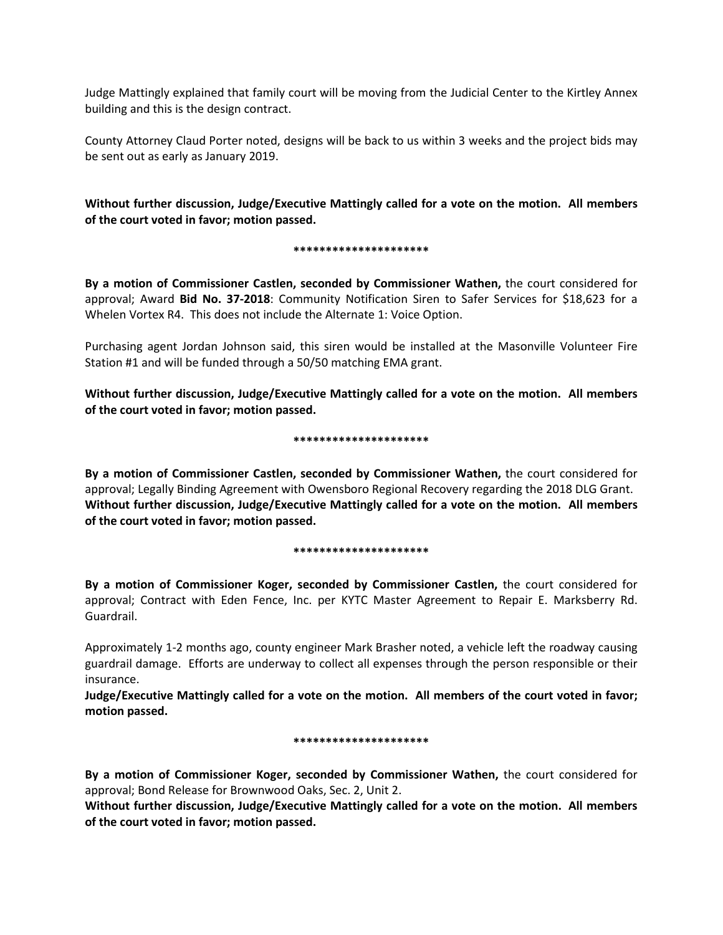Judge Mattingly explained that family court will be moving from the Judicial Center to the Kirtley Annex building and this is the design contract.

County Attorney Claud Porter noted, designs will be back to us within 3 weeks and the project bids may be sent out as early as January 2019.

**Without further discussion, Judge/Executive Mattingly called for a vote on the motion. All members of the court voted in favor; motion passed.** 

#### **\*\*\*\*\*\*\*\*\*\*\*\*\*\*\*\*\*\*\*\*\***

**By a motion of Commissioner Castlen, seconded by Commissioner Wathen,** the court considered for approval; Award **Bid No. 37-2018**: Community Notification Siren to Safer Services for \$18,623 for a Whelen Vortex R4. This does not include the Alternate 1: Voice Option.

Purchasing agent Jordan Johnson said, this siren would be installed at the Masonville Volunteer Fire Station #1 and will be funded through a 50/50 matching EMA grant.

**Without further discussion, Judge/Executive Mattingly called for a vote on the motion. All members of the court voted in favor; motion passed.** 

#### **\*\*\*\*\*\*\*\*\*\*\*\*\*\*\*\*\*\*\*\*\***

**By a motion of Commissioner Castlen, seconded by Commissioner Wathen,** the court considered for approval; Legally Binding Agreement with Owensboro Regional Recovery regarding the 2018 DLG Grant. **Without further discussion, Judge/Executive Mattingly called for a vote on the motion. All members of the court voted in favor; motion passed.** 

## **\*\*\*\*\*\*\*\*\*\*\*\*\*\*\*\*\*\*\*\*\***

**By a motion of Commissioner Koger, seconded by Commissioner Castlen,** the court considered for approval; Contract with Eden Fence, Inc. per KYTC Master Agreement to Repair E. Marksberry Rd. Guardrail.

Approximately 1-2 months ago, county engineer Mark Brasher noted, a vehicle left the roadway causing guardrail damage. Efforts are underway to collect all expenses through the person responsible or their insurance.

**Judge/Executive Mattingly called for a vote on the motion. All members of the court voted in favor; motion passed.** 

#### **\*\*\*\*\*\*\*\*\*\*\*\*\*\*\*\*\*\*\*\*\***

**By a motion of Commissioner Koger, seconded by Commissioner Wathen,** the court considered for approval; Bond Release for Brownwood Oaks, Sec. 2, Unit 2.

**Without further discussion, Judge/Executive Mattingly called for a vote on the motion. All members of the court voted in favor; motion passed.**